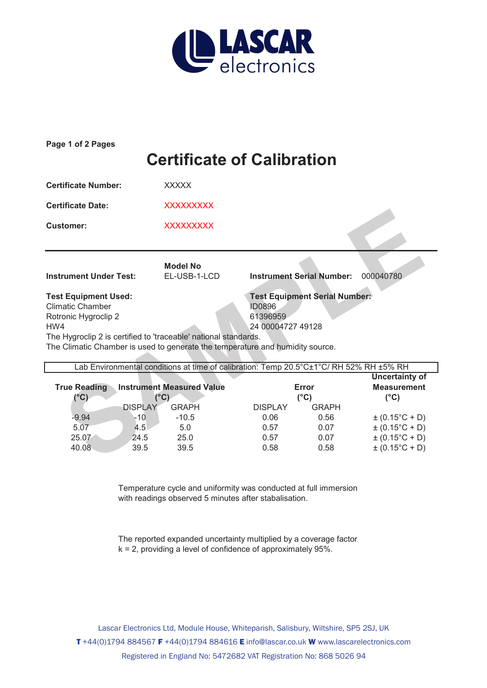

| Page 1 of 2 Pages                                                                                                                                                                                                                                                                                                                   |                                                                                       |                                                |                                              |                                                                                                                  |  |  |  |  |  |
|-------------------------------------------------------------------------------------------------------------------------------------------------------------------------------------------------------------------------------------------------------------------------------------------------------------------------------------|---------------------------------------------------------------------------------------|------------------------------------------------|----------------------------------------------|------------------------------------------------------------------------------------------------------------------|--|--|--|--|--|
| <b>Certificate of Calibration</b>                                                                                                                                                                                                                                                                                                   |                                                                                       |                                                |                                              |                                                                                                                  |  |  |  |  |  |
| <b>Certificate Number:</b>                                                                                                                                                                                                                                                                                                          | <b>XXXXX</b>                                                                          |                                                |                                              |                                                                                                                  |  |  |  |  |  |
| <b>Certificate Date:</b>                                                                                                                                                                                                                                                                                                            | <b>XXXXXXXXX</b>                                                                      |                                                |                                              |                                                                                                                  |  |  |  |  |  |
| <b>Customer:</b>                                                                                                                                                                                                                                                                                                                    | <b>XXXXXXXXX</b>                                                                      |                                                |                                              |                                                                                                                  |  |  |  |  |  |
|                                                                                                                                                                                                                                                                                                                                     |                                                                                       |                                                |                                              |                                                                                                                  |  |  |  |  |  |
| <b>Instrument Under Test:</b>                                                                                                                                                                                                                                                                                                       | <b>Model No</b><br>EL-USB-1-LCD                                                       | <b>Instrument Serial Number:</b>               |                                              | 000040780                                                                                                        |  |  |  |  |  |
| <b>Test Equipment Serial Number:</b><br><b>Test Equipment Used:</b><br><b>Climatic Chamber</b><br><b>ID0896</b><br>61396959<br>Rotronic Hygroclip 2<br>HW4<br>24 00004727 49128<br>The Hygroclip 2 is certified to 'traceable' national standards.<br>The Climatic Chamber is used to generate the temperature and humidity source. |                                                                                       |                                                |                                              |                                                                                                                  |  |  |  |  |  |
|                                                                                                                                                                                                                                                                                                                                     | Lab Environmental conditions at time of calibration: Temp 20.5°C±1°C/RH 52% RH ±5% RH |                                                |                                              |                                                                                                                  |  |  |  |  |  |
| <b>True Reading</b><br>$(^{\circ}C)$                                                                                                                                                                                                                                                                                                | <b>Instrument Measured Value</b><br>$(^{\circ}C)$                                     |                                                | Error<br>$(^{\circ}C)$                       | <b>Uncertainty of</b><br><b>Measurement</b><br>$(^{\circ}C)$                                                     |  |  |  |  |  |
| <b>DISPLAY</b><br>$-9.94$<br>$-10$<br>5.07<br>4.5<br>25.07<br>24.5<br>40.08<br>39.5                                                                                                                                                                                                                                                 | <b>GRAPH</b><br>$-10.5$<br>5.0<br>25.0<br>39.5                                        | <b>DISPLAY</b><br>0.06<br>0.57<br>0.57<br>0.58 | <b>GRAPH</b><br>0.56<br>0.07<br>0.07<br>0.58 | $\pm (0.15^{\circ}C + D)$<br>$\pm (0.15^{\circ}C + D)$<br>$\pm (0.15^{\circ}C + D)$<br>$\pm (0.15^{\circ}C + D)$ |  |  |  |  |  |

| <b>True Reading</b> | <b>Instrument Measured Value</b><br>'°C) |              | Error<br>(°C)  |              | <b>Measurement</b><br>(°C) |
|---------------------|------------------------------------------|--------------|----------------|--------------|----------------------------|
| (°C)                |                                          |              |                |              |                            |
|                     | <b>DISPLAY</b>                           | <b>GRAPH</b> | <b>DISPLAY</b> | <b>GRAPH</b> |                            |
| $-9.94$             | -10                                      | $-10.5$      | 0.06           | 0.56         | $\pm (0.15^{\circ}C + D)$  |
| 5.07                | 4.5                                      | 5.0          | 0.57           | 0.07         | $\pm (0.15^{\circ}C + D)$  |
| 25.07               | 24.5                                     | 25.0         | 0.57           | 0.07         | $\pm (0.15^{\circ}C + D)$  |
| 40.08               | 39.5                                     | 39.5         | 0.58           | 0.58         | $\pm (0.15^{\circ}C + D)$  |

Temperature cycle and uniformity was conducted at full immersion with readings observed 5 minutes after stabalisation.

The reported expanded uncertainty multiplied by a coverage factor k = 2, providing a level of confidence of approximately 95%.

T +44(0)1794 884567 F +44(0)1794 884616 E info@lascar.co.uk W www.lascarelectronics.com Registered in England No: 5472682 VAT Registration No: 868 5026 94 Lascar Electronics Ltd, Module House, Whiteparish, Salisbury, Wiltshire, SP5 2SJ, UK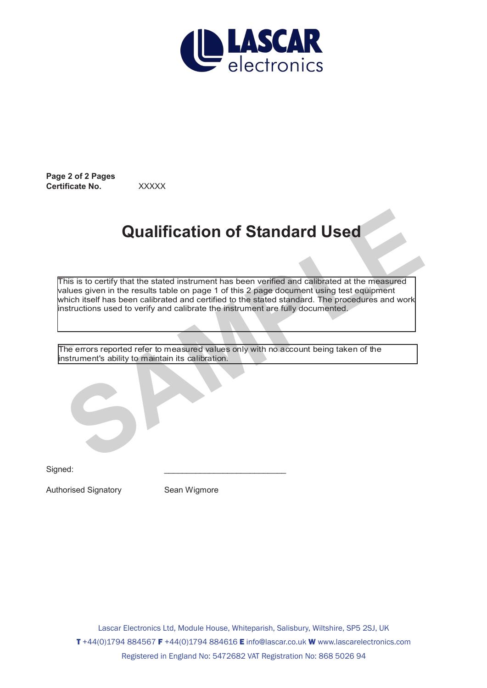

**Page 2 of 2 Pages Certificate No.** XXXXX

## **Qualification of Standard Used**

This is to certify that the stated instrument has been verified and calibrated at the measured values given in the results table on page 1 of this 2 page document using test equipment which itself has been calibrated and certified to the stated standard. The procedures and work instructions used to verify and calibrate the instrument are fully documented. **Qualification of Standard Used**<br>This is to certify that the stated instrument has been verified and calibrated at the measured<br>alues given in the results table on page 1 of this 2 page document using test equipment<br>which

The errors reported refer to measured values only with no account being taken of the instrument's ability to maintain its calibration.

Signed: \_\_\_\_\_\_\_\_\_\_\_\_\_\_\_\_\_\_\_\_\_\_\_\_\_\_\_

Authorised Signatory **Sean Wigmore**